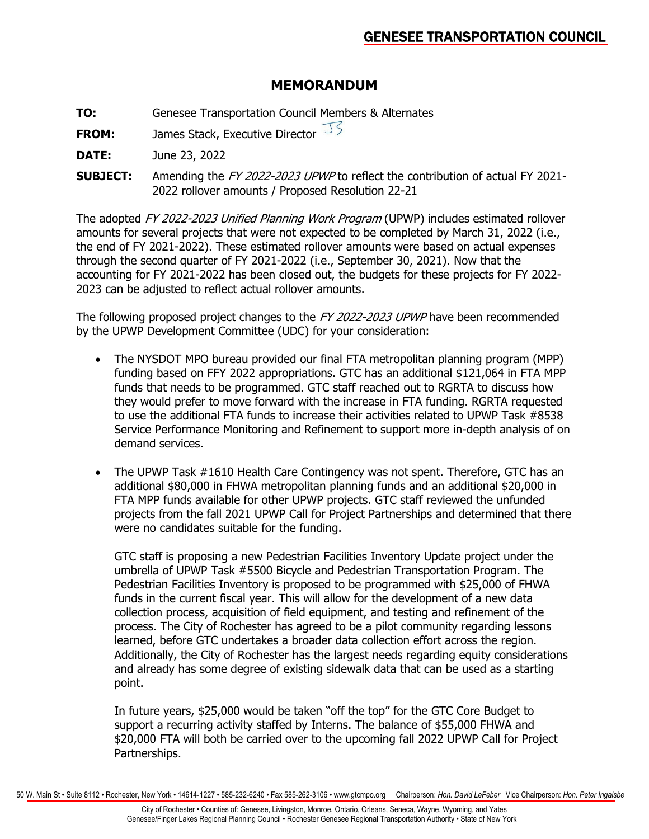# **MEMORANDUM**

- **TO:** Genesee Transportation Council Members & Alternates
- **FROM:** James Stack, Executive Director
- **DATE:** June 23, 2022
- **SUBJECT:** Amending the FY 2022-2023 UPWP to reflect the contribution of actual FY 2021- 2022 rollover amounts / Proposed Resolution 22-21

The adopted FY 2022-2023 Unified Planning Work Program (UPWP) includes estimated rollover amounts for several projects that were not expected to be completed by March 31, 2022 (i.e., the end of FY 2021-2022). These estimated rollover amounts were based on actual expenses through the second quarter of FY 2021-2022 (i.e., September 30, 2021). Now that the accounting for FY 2021-2022 has been closed out, the budgets for these projects for FY 2022- 2023 can be adjusted to reflect actual rollover amounts.

The following proposed project changes to the FY 2022-2023 UPWP have been recommended by the UPWP Development Committee (UDC) for your consideration:

- The NYSDOT MPO bureau provided our final FTA metropolitan planning program (MPP) funding based on FFY 2022 appropriations. GTC has an additional \$121,064 in FTA MPP funds that needs to be programmed. GTC staff reached out to RGRTA to discuss how they would prefer to move forward with the increase in FTA funding. RGRTA requested to use the additional FTA funds to increase their activities related to UPWP Task #8538 Service Performance Monitoring and Refinement to support more in-depth analysis of on demand services.
- The UPWP Task #1610 Health Care Contingency was not spent. Therefore, GTC has an additional \$80,000 in FHWA metropolitan planning funds and an additional \$20,000 in FTA MPP funds available for other UPWP projects. GTC staff reviewed the unfunded projects from the fall 2021 UPWP Call for Project Partnerships and determined that there were no candidates suitable for the funding.

GTC staff is proposing a new Pedestrian Facilities Inventory Update project under the umbrella of UPWP Task #5500 Bicycle and Pedestrian Transportation Program. The Pedestrian Facilities Inventory is proposed to be programmed with \$25,000 of FHWA funds in the current fiscal year. This will allow for the development of a new data collection process, acquisition of field equipment, and testing and refinement of the process. The City of Rochester has agreed to be a pilot community regarding lessons learned, before GTC undertakes a broader data collection effort across the region. Additionally, the City of Rochester has the largest needs regarding equity considerations and already has some degree of existing sidewalk data that can be used as a starting point.

In future years, \$25,000 would be taken "off the top" for the GTC Core Budget to support a recurring activity staffed by Interns. The balance of \$55,000 FHWA and \$20,000 FTA will both be carried over to the upcoming fall 2022 UPWP Call for Project Partnerships.

50 W. Main St • Suite 8112 • Rochester, New York • 14614-1227 • 585-232-6240 • Fax 585-262-3106 • www.gtcmpo.org Chairperson: *Hon. David LeFeber* Vice Chairperson: *Hon. Peter Ingalsbe*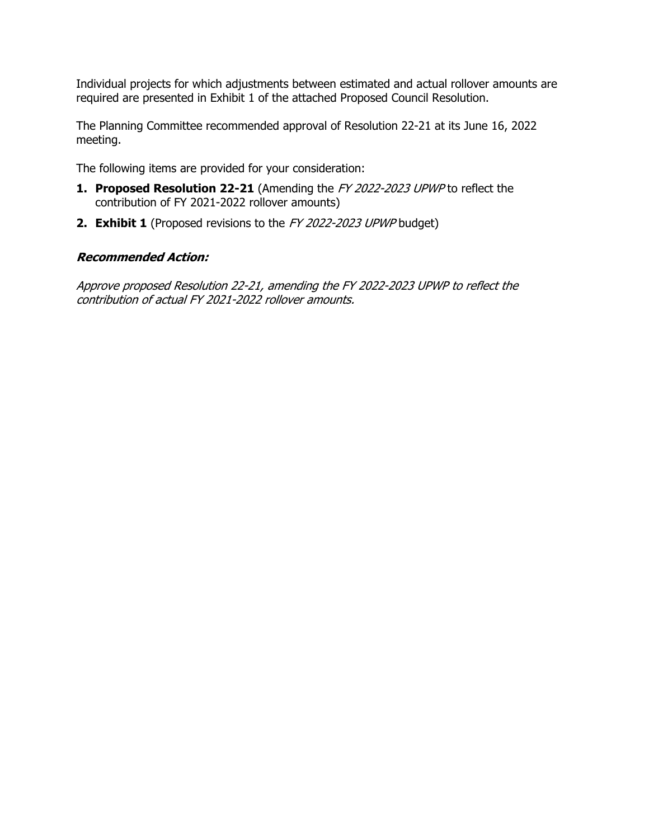Individual projects for which adjustments between estimated and actual rollover amounts are required are presented in Exhibit 1 of the attached Proposed Council Resolution.

The Planning Committee recommended approval of Resolution 22-21 at its June 16, 2022 meeting.

The following items are provided for your consideration:

- **1. Proposed Resolution 22-21** (Amending the FY 2022-2023 UPWP to reflect the contribution of FY 2021-2022 rollover amounts)
- **2. Exhibit 1** (Proposed revisions to the FY 2022-2023 UPWP budget)

#### **Recommended Action:**

Approve proposed Resolution 22-21, amending the FY 2022-2023 UPWP to reflect the contribution of actual FY 2021-2022 rollover amounts.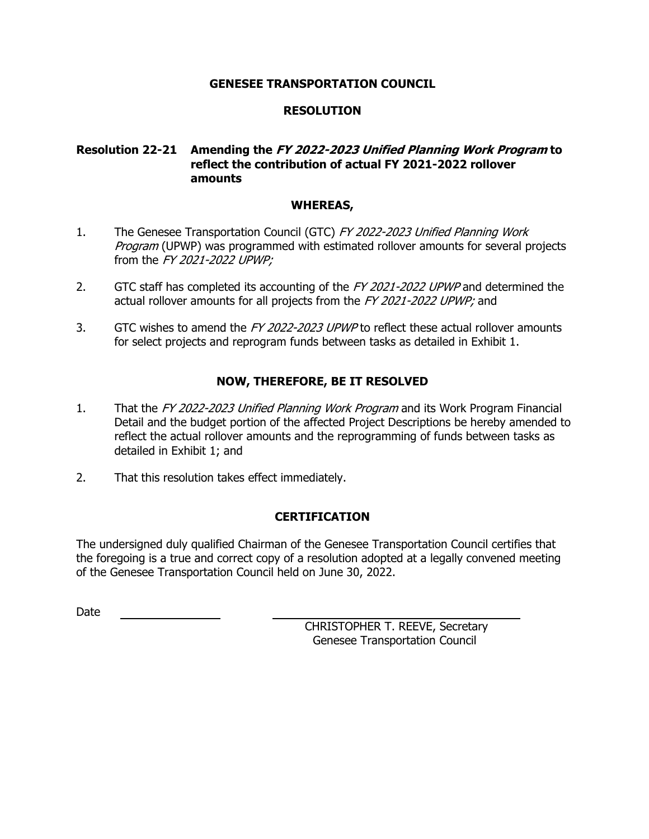#### **GENESEE TRANSPORTATION COUNCIL**

## **RESOLUTION**

## **Resolution 22-21 Amending the FY 2022-2023 Unified Planning Work Program to reflect the contribution of actual FY 2021-2022 rollover amounts**

#### **WHEREAS,**

- 1. The Genesee Transportation Council (GTC) FY 2022-2023 Unified Planning Work Program (UPWP) was programmed with estimated rollover amounts for several projects from the FY 2021-2022 UPWP;
- 2. GTC staff has completed its accounting of the FY 2021-2022 UPWP and determined the actual rollover amounts for all projects from the FY 2021-2022 UPWP; and
- 3. GTC wishes to amend the FY 2022-2023 UPWP to reflect these actual rollover amounts for select projects and reprogram funds between tasks as detailed in Exhibit 1.

# **NOW, THEREFORE, BE IT RESOLVED**

- 1. That the FY 2022-2023 Unified Planning Work Program and its Work Program Financial Detail and the budget portion of the affected Project Descriptions be hereby amended to reflect the actual rollover amounts and the reprogramming of funds between tasks as detailed in Exhibit 1; and
- 2. That this resolution takes effect immediately.

# **CERTIFICATION**

The undersigned duly qualified Chairman of the Genesee Transportation Council certifies that the foregoing is a true and correct copy of a resolution adopted at a legally convened meeting of the Genesee Transportation Council held on June 30, 2022.

Date

CHRISTOPHER T. REEVE, Secretary Genesee Transportation Council